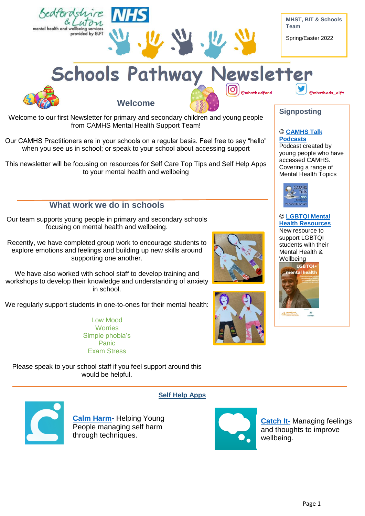

workshops to develop their knowledge and understanding of anxiety in school.

We regularly support students in one-to-ones for their mental health:

Low Mood **Worries** Simple phobia's Panic Exam Stress

Please speak to your school staff if you feel support around this would be helpful.



**Self Help Apps**

**Calm [Harm-](https://calmharm.co.uk/)** Helping Young People managing self harm through techniques.



**[Catch It-](https://www.liverpool.ac.uk/it/app-directory/catch-it/)** Managing feelings and thoughts to improve wellbeing.